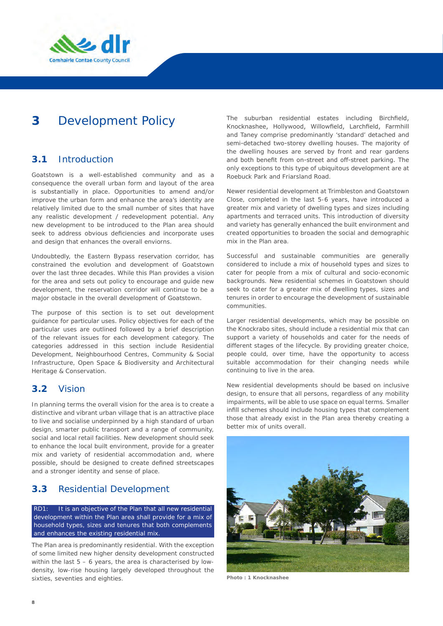

# **3** Development Policy

## **3.1** Introduction

Goatstown is a well-established community and as a consequence the overall urban form and layout of the area is substantially in place. Opportunities to amend and/or improve the urban form and enhance the area's identity are relatively limited due to the small number of sites that have any realistic development / redevelopment potential. Any new development to be introduced to the Plan area should seek to address obvious deficiencies and incorporate uses and design that enhances the overall enviorns.

Undoubtedly, the Eastern Bypass reservation corridor, has constrained the evolution and development of Goatstown over the last three decades. While this Plan provides a vision for the area and sets out policy to encourage and guide new development, the reservation corridor will continue to be a major obstacle in the overall development of Goatstown.

The purpose of this section is to set out development guidance for particular uses. Policy objectives for each of the particular uses are outlined followed by a brief description of the relevant issues for each development category. The categories addressed in this section include Residential Development, Neighbourhood Centres, Community & Social Infrastructure, Open Space & Biodiversity and Architectural Heritage & Conservation.

### **3.2** Vision

In planning terms the overall vision for the area is to create a distinctive and vibrant urban village that is an attractive place to live and socialise underpinned by a high standard of urban design, smarter public transport and a range of community, social and local retail facilities. New development should seek to enhance the local built environment, provide for a greater mix and variety of residential accommodation and, where possible, should be designed to create defined streetscapes and a stronger identity and sense of place.

### **3.3** Residential Development

*RD1: It is an objective of the Plan that all new residential development within the Plan area shall provide for a mix of household types, sizes and tenures that both complements and enhances the existing residential mix.* 

The Plan area is predominantly residential. With the exception of some limited new higher density development constructed within the last  $5 - 6$  years, the area is characterised by lowdensity, low-rise housing largely developed throughout the sixties, seventies and eighties.

The suburban residential estates including Birchfield, Knocknashee, Hollywood, Willowfield, Larchfield, Farmhill and Taney comprise predominantly 'standard' detached and semi-detached two-storey dwelling houses. The majority of the dwelling houses are served by front and rear gardens and both benefit from on-street and off-street parking. The only exceptions to this type of ubiquitous development are at Roebuck Park and Friarsland Road.

Newer residential development at Trimbleston and Goatstown Close, completed in the last 5-6 years, have introduced a greater mix and variety of dwelling types and sizes including apartments and terraced units. This introduction of diversity and variety has generally enhanced the built environment and created opportunities to broaden the social and demographic mix in the Plan area.

Successful and sustainable communities are generally considered to include a mix of household types and sizes to cater for people from a mix of cultural and socio-economic backgrounds. New residential schemes in Goatstown should seek to cater for a greater mix of dwelling types, sizes and tenures in order to encourage the development of sustainable communities.

Larger residential developments, which may be possible on the Knockrabo sites, should include a residential mix that can support a variety of households and cater for the needs of different stages of the lifecycle. By providing greater choice, people could, over time, have the opportunity to access suitable accommodation for their changing needs while continuing to live in the area.

New residential developments should be based on inclusive design, to ensure that all persons, regardless of any mobility impairments, will be able to use space on equal terms. Smaller infill schemes should include housing types that complement those that already exist in the Plan area thereby creating a better mix of units overall.



**Photo : 1 Knocknashee**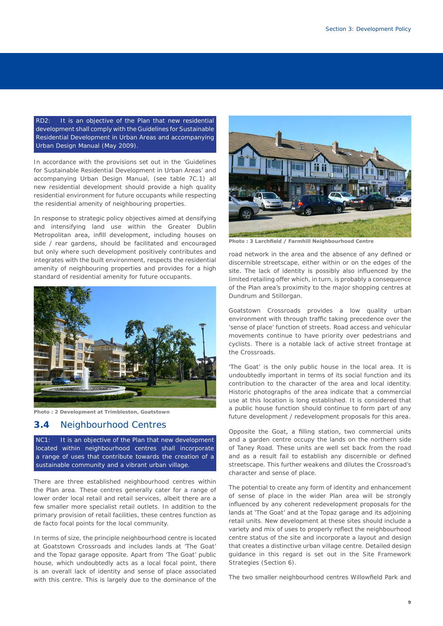*RD2: It is an objective of the Plan that new residential development shall comply with the Guidelines for Sustainable Residential Development in Urban Areas and accompanying Urban Design Manual (May 2009).* 

In accordance with the provisions set out in the 'Guidelines for Sustainable Residential Development in Urban Areas' and accompanying Urban Design Manual, (see table 7C.1) all new residential development should provide a high quality residential environment for future occupants while respecting the residential amenity of neighbouring properties.

In response to strategic policy objectives aimed at densifying and intensifying land use within the Greater Dublin Metropolitan area, infill development, including houses on side / rear gardens, should be facilitated and encouraged but only where such development positively contributes and integrates with the built environment, respects the residential amenity of neighbouring properties and provides for a high standard of residential amenity for future occupants.



**Photo : 2 Development at Trimbleston, Goatstown**

#### **3.4** Neighbourhood Centres

*NC1: It is an objective of the Plan that new development located within neighbourhood centres shall incorporate a range of uses that contribute towards the creation of a sustainable community and a vibrant urban village.* 

There are three established neighbourhood centres within the Plan area. These centres generally cater for a range of lower order local retail and retail services, albeit there are a few smaller more specialist retail outlets. In addition to the primary provision of retail facilities, these centres function as de facto focal points for the local community.

In terms of size, the principle neighbourhood centre is located at Goatstown Crossroads and includes lands at 'The Goat' and the Topaz garage opposite. Apart from 'The Goat' public house, which undoubtedly acts as a local focal point, there is an overall lack of identity and sense of place associated with this centre. This is largely due to the dominance of the



**Photo : 3 Larchfield / Farmhill Neighbourhood Centre**

road network in the area and the absence of any defined or discernible streetscape, either within or on the edges of the site. The lack of identity is possibly also influenced by the limited retailing offer which, in turn, is probably a consequence of the Plan area's proximity to the major shopping centres at Dundrum and Stillorgan.

Goatstown Crossroads provides a low quality urban environment with through traffic taking precedence over the 'sense of place' function of streets. Road access and vehicular movements continue to have priority over pedestrians and cyclists. There is a notable lack of active street frontage at the Crossroads.

'The Goat' is the only public house in the local area. It is undoubtedly important in terms of its social function and its contribution to the character of the area and local identity. Historic photographs of the area indicate that a commercial use at this location is long established. It is considered that a public house function should continue to form part of any future development / redevelopment proposals for this area.

Opposite the Goat, a filling station, two commercial units and a garden centre occupy the lands on the northern side of Taney Road. These units are well set back from the road and as a result fail to establish any discernible or defined streetscape. This further weakens and dilutes the Crossroad's character and sense of place.

The potential to create any form of identity and enhancement of sense of place in the wider Plan area will be strongly influenced by any coherent redevelopment proposals for the lands at 'The Goat' and at the Topaz garage and its adjoining retail units. New development at these sites should include a variety and mix of uses to properly reflect the neighbourhood centre status of the site and incorporate a layout and design that creates a distinctive urban village centre. Detailed design guidance in this regard is set out in the Site Framework Strategies (Section 6).

The two smaller neighbourhood centres Willowfield Park and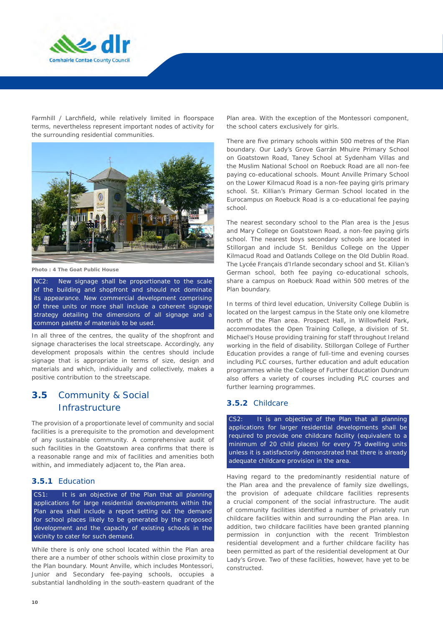

Farmhill / Larchfield, while relatively limited in floorspace terms, nevertheless represent important nodes of activity for the surrounding residential communities.



**Photo : 4 The Goat Public House**

*NC2: New signage shall be proportionate to the scale of the building and shopfront and should not dominate its appearance. New commercial development comprising of three units or more shall include a coherent signage strategy detailing the dimensions of all signage and a common palette of materials to be used.* 

In all three of the centres, the quality of the shopfront and signage characterises the local streetscape. Accordingly, any development proposals within the centres should include signage that is appropriate in terms of size, design and materials and which, individually and collectively, makes a positive contribution to the streetscape.

# **3.5** Community & Social Infrastructure

The provision of a proportionate level of community and social facilities is a prerequisite to the promotion and development of any sustainable community. A comprehensive audit of such facilities in the Goatstown area confirms that there is a reasonable range and mix of facilities and amenities both within, and immediately adjacent to, the Plan area.

### **3.5.1** Education

*CS1: It is an objective of the Plan that all planning applications for large residential developments within the Plan area shall include a report setting out the demand for school places likely to be generated by the proposed development and the capacity of existing schools in the vicinity to cater for such demand.* 

While there is only one school located within the Plan area there are a number of other schools within close proximity to the Plan boundary. Mount Anville, which includes Montessori, Junior and Secondary fee-paying schools, occupies a substantial landholding in the south-eastern quadrant of the

Plan area. With the exception of the Montessori component, the school caters exclusively for girls.

There are five primary schools within 500 metres of the Plan boundary. Our Lady's Grove Garrán Mhuire Primary School on Goatstown Road, Taney School at Sydenham Villas and the Muslim National School on Roebuck Road are all non-fee paying co-educational schools. Mount Anville Primary School on the Lower Kilmacud Road is a non-fee paying girls primary school. St. Killian's Primary German School located in the Eurocampus on Roebuck Road is a co-educational fee paying school.

The nearest secondary school to the Plan area is the Jesus and Mary College on Goatstown Road, a non-fee paying girls school. The nearest boys secondary schools are located in Stillorgan and include St. Benildus College on the Upper Kilmacud Road and Oatlands College on the Old Dublin Road. The Lycée Français d'Irlande secondary school and St. Kilian's German school, both fee paying co-educational schools, share a campus on Roebuck Road within 500 metres of the Plan boundary.

In terms of third level education, University College Dublin is located on the largest campus in the State only one kilometre north of the Plan area. Prospect Hall, in Willowfield Park, accommodates the Open Training College, a division of St. Michael's House providing training for staff throughout Ireland working in the field of disability. Stillorgan College of Further Education provides a range of full-time and evening courses including PLC courses, further education and adult education programmes while the College of Further Education Dundrum also offers a variety of courses including PLC courses and further learning programmes.

#### **3.5.2** Childcare

*CS2: It is an objective of the Plan that all planning applications for larger residential developments shall be required to provide one childcare facility (equivalent to a minimum of 20 child places) for every 75 dwelling units unless it is satisfactorily demonstrated that there is already adequate childcare provision in the area.* 

Having regard to the predominantly residential nature of the Plan area and the prevalence of family size dwellings, the provision of adequate childcare facilities represents a crucial component of the social infrastructure. The audit of community facilities identified a number of privately run childcare facilities within and surrounding the Plan area. In addition, two childcare facilities have been granted planning permission in conjunction with the recent Trimbleston residential development and a further childcare facility has been permitted as part of the residential development at Our Lady's Grove. Two of these facilities, however, have yet to be constructed.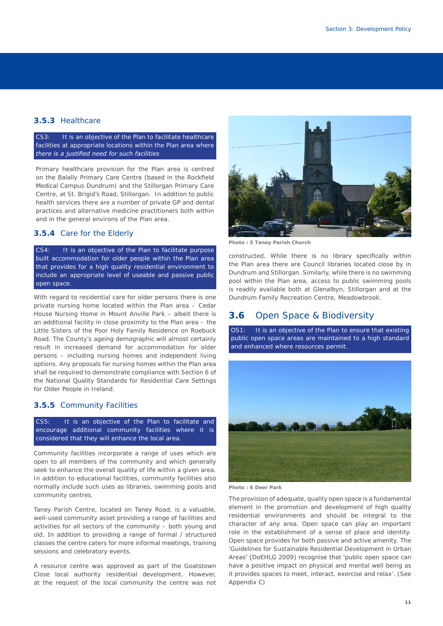### **3.5.3** Healthcare

*CS3: It is an objective of the Plan to facilitate healthcare facilities at appropriate locations within the Plan area where there is a justified need for such facilities*

Primary healthcare provision for the Plan area is centred on the Balally Primary Care Centre (based in the Rockfield Medical Campus Dundrum) and the Stillorgan Primary Care Centre, at St. Brigid's Road, Stillorgan. In addition to public health services there are a number of private GP and dental practices and alternative medicine practitioners both within and in the general environs of the Plan area.

#### **3.5.4** Care for the Elderly

*CS4: It is an objective of the Plan to facilitate purpose built accommodation for older people within the Plan area that provides for a high quality residential environment to include an appropriate level of useable and passive public open space.* 

With regard to residential care for older persons there is one private nursing home located within the Plan area – Cedar House Nursing Home in Mount Anville Park – albeit there is an additional facility in close proximity to the Plan area – the Little Sisters of the Poor Holy Family Residence on Roebuck Road. The County's ageing demographic will almost certainly result in increased demand for accommodation for older persons – including nursing homes and independent living options. Any proposals for nursing homes within the Plan area shall be required to demonstrate compliance with Section 6 of the National Quality Standards for Residential Care Settings for Older People in Ireland.

#### **3.5.5** Community Facilities

*CS5: It is an objective of the Plan to facilitate and encourage additional community facilities where it is considered that they will enhance the local area.* 

Community facilities incorporate a range of uses which are open to all members of the community and which generally seek to enhance the overall quality of life within a given area. In addition to educational facilities, community facilities also normally include such uses as libraries, swimming pools and community centres.

Taney Parish Centre, located on Taney Road, is a valuable, well-used community asset providing a range of facilities and activities for all sectors of the community – both young and old. In addition to providing a range of formal / structured classes the centre caters for more informal meetings, training sessions and celebratory events.

A resource centre was approved as part of the Goatstown Close local authority residential development. However, at the request of the local community the centre was not



**Photo : 5 Taney Parish Church**

constructed. While there is no library specifically within the Plan area there are Council libraries located close by in Dundrum and Stillorgan. Similarly, while there is no swimming pool within the Plan area, access to public swimming pools is readily available both at Glenalbyn, Stillorgan and at the Dundrum Family Recreation Centre, Meadowbrook.

### **3.6** Open Space & Biodiversity

*OS1: It is an objective of the Plan to ensure that existing public open space areas are maintained to a high standard and enhanced where resources permit.* 



**Photo : 6 Deer Park**

The provision of adequate, quality open space is a fundamental element in the promotion and development of high quality residential environments and should be integral to the character of any area. Open space can play an important role in the establishment of a sense of place and identity. Open space provides for both passive and active amenity. The 'Guidelines for Sustainable Residential Development in Urban Areas' (DoEHLG 2009) recognise that '*public open space can have a positive impact on physical and mental well being as it provides spaces to meet, interact, exercise and relax'.* (See Appendix C)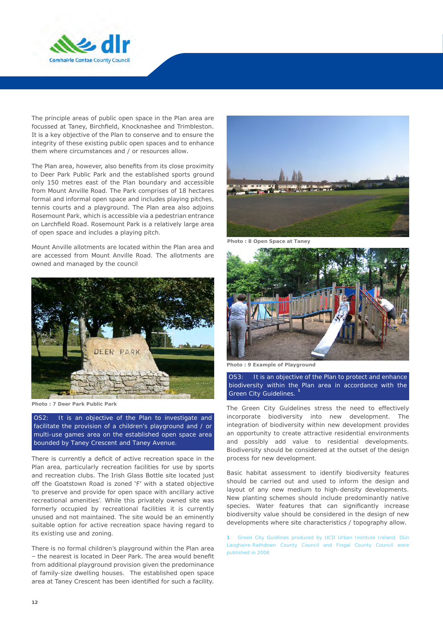

The principle areas of public open space in the Plan area are focussed at Taney, Birchfield, Knocknashee and Trimbleston. It is a key objective of the Plan to conserve and to ensure the integrity of these existing public open spaces and to enhance them where circumstances and / or resources allow.

The Plan area, however, also benefits from its close proximity to Deer Park Public Park and the established sports ground only 150 metres east of the Plan boundary and accessible from Mount Anville Road. The Park comprises of 18 hectares formal and informal open space and includes playing pitches, tennis courts and a playground. The Plan area also adjoins Rosemount Park, which is accessible via a pedestrian entrance on Larchfield Road. Rosemount Park is a relatively large area of open space and includes a playing pitch.

Mount Anville allotments are located within the Plan area and are accessed from Mount Anville Road. The allotments are owned and managed by the council



**Photo : 7 Deer Park Public Park**

*OS2: It is an objective of the Plan to investigate and facilitate the provision of a children's playground and / or multi-use games area on the established open space area bounded by Taney Crescent and Taney Avenue.* 

There is currently a deficit of active recreation space in the Plan area, particularly recreation facilities for use by sports and recreation clubs. The Irish Glass Bottle site located just off the Goatstown Road is zoned 'F' with a stated objective 'to preserve and provide for open space with ancillary active recreational amenities'. While this privately owned site was formerly occupied by recreational facilities it is currently unused and not maintained. The site would be an eminently suitable option for active recreation space having regard to its existing use and zoning.

There is no formal children's playground within the Plan area – the nearest is located in Deer Park. The area would benefit from additional playground provision given the predominance of family-size dwelling houses. The established open space area at Taney Crescent has been identified for such a facility.



**Photo : 8 Open Space at Taney**



**Photo : 9 Example of Playground**

*OS3: It is an objective of the Plan to protect and enhance biodiversity within the Plan area in accordance with the Green City Guidelines.* **<sup>1</sup>**

The Green City Guidelines stress the need to effectively incorporate biodiversity into new development. The integration of biodiversity within new development provides an opportunity to create attractive residential environments and possibly add value to residential developments. Biodiversity should be considered at the outset of the design process for new development.

Basic habitat assessment to identify biodiversity features should be carried out and used to inform the design and layout of any new medium to high-density developments. New planting schemes should include predominantly native species. Water features that can significantly increase biodiversity value should be considered in the design of new developments where site characteristics / topography allow.

**1** *Green City Guidlines produced by UCD Urban Institute Ireland, Dún Laoghaire-Rathdown County Council and Fingal County Council were published in 2008*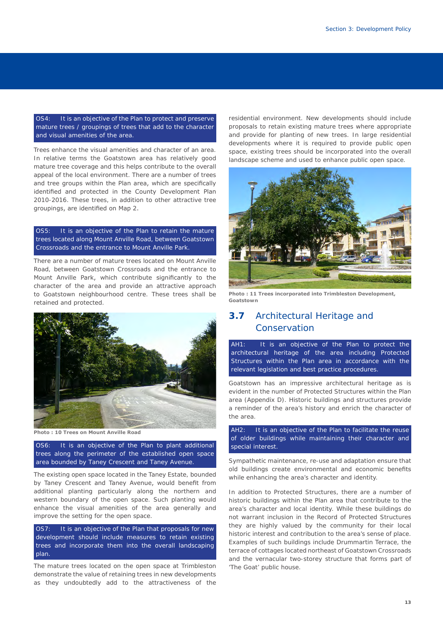*OS4: It is an objective of the Plan to protect and preserve mature trees / groupings of trees that add to the character and visual amenities of the area.* 

Trees enhance the visual amenities and character of an area. In relative terms the Goatstown area has relatively good mature tree coverage and this helps contribute to the overall appeal of the local environment. There are a number of trees and tree groups within the Plan area, which are specifically identified and protected in the County Development Plan 2010-2016. These trees, in addition to other attractive tree groupings, are identified on Map 2.

#### *OS5: It is an objective of the Plan to retain the mature trees located along Mount Anville Road, between Goatstown Crossroads and the entrance to Mount Anville Park.*

There are a number of mature trees located on Mount Anville Road, between Goatstown Crossroads and the entrance to Mount Anville Park, which contribute significantly to the character of the area and provide an attractive approach to Goatstown neighbourhood centre. These trees shall be retained and protected.



**Photo : 10 Trees on Mount Anville Road**

*OS6: It is an objective of the Plan to plant additional trees along the perimeter of the established open space area bounded by Taney Crescent and Taney Avenue.* 

The existing open space located in the Taney Estate, bounded by Taney Crescent and Taney Avenue, would benefit from additional planting particularly along the northern and western boundary of the open space. Such planting would enhance the visual amenities of the area generally and improve the setting for the open space.

*OS7: It is an objective of the Plan that proposals for new development should include measures to retain existing trees and incorporate them into the overall landscaping plan.* 

The mature trees located on the open space at Trimbleston demonstrate the value of retaining trees in new developments as they undoubtedly add to the attractiveness of the

residential environment. New developments should include proposals to retain existing mature trees where appropriate and provide for planting of new trees. In large residential developments where it is required to provide public open space, existing trees should be incorporated into the overall landscape scheme and used to enhance public open space.



**Photo : 11 Trees incorporated into Trimbleston Development, Goatstown**

# **3.7** Architectural Heritage and Conservation

*AH1: It is an objective of the Plan to protect the architectural heritage of the area including Protected Structures within the Plan area in accordance with the relevant legislation and best practice procedures.*

Goatstown has an impressive architectural heritage as is evident in the number of Protected Structures within the Plan area (Appendix D). Historic buildings and structures provide a reminder of the area's history and enrich the character of the area.

*AH2: It is an objective of the Plan to facilitate the reuse of older buildings while maintaining their character and special interest.*

Sympathetic maintenance, re-use and adaptation ensure that old buildings create environmental and economic benefits while enhancing the area's character and identity.

In addition to Protected Structures, there are a number of historic buildings within the Plan area that contribute to the area's character and local identity. While these buildings do not warrant inclusion in the Record of Protected Structures they are highly valued by the community for their local historic interest and contribution to the area's sense of place. Examples of such buildings include Drummartin Terrace, the terrace of cottages located northeast of Goatstown Crossroads and the vernacular two-storey structure that forms part of 'The Goat' public house.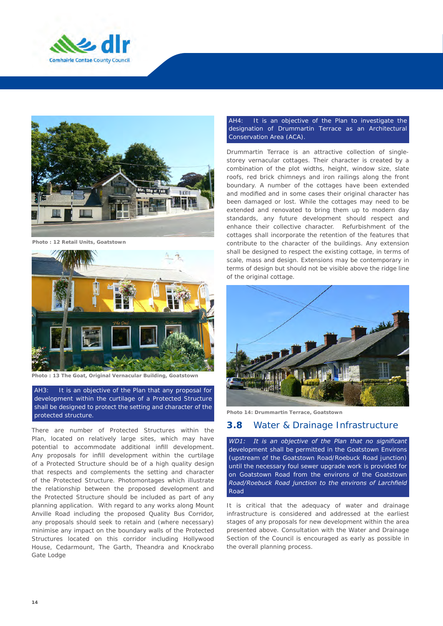



**Photo : 12 Retail Units, Goatstown**



**Photo : 13 The Goat, Original Vernacular Building, Goatstown**

*AH3: It is an objective of the Plan that any proposal for development within the curtilage of a Protected Structure shall be designed to protect the setting and character of the protected structure.* 

There are number of Protected Structures within the Plan, located on relatively large sites, which may have potential to accommodate additional infill development. Any proposals for infill development within the curtilage of a Protected Structure should be of a high quality design that respects and complements the setting and character of the Protected Structure. Photomontages which illustrate the relationship between the proposed development and the Protected Structure should be included as part of any planning application. With regard to any works along Mount Anville Road including the proposed Quality Bus Corridor, any proposals should seek to retain and (where necessary) minimise any impact on the boundary walls of the Protected Structures located on this corridor including Hollywood House, Cedarmount, The Garth, Theandra and Knockrabo Gate Lodge

#### *AH4: It is an objective of the Plan to investigate the designation of Drummartin Terrace as an Architectural Conservation Area (ACA).*

Drummartin Terrace is an attractive collection of singlestorey vernacular cottages. Their character is created by a combination of the plot widths, height, window size, slate roofs, red brick chimneys and iron railings along the front boundary. A number of the cottages have been extended and modified and in some cases their original character has been damaged or lost. While the cottages may need to be extended and renovated to bring them up to modern day standards, any future development should respect and enhance their collective character. Refurbishment of the cottages shall incorporate the retention of the features that contribute to the character of the buildings. Any extension shall be designed to respect the existing cottage, in terms of scale, mass and design. Extensions may be contemporary in terms of design but should not be visible above the ridge line of the original cottage.



**Photo 14: Drummartin Terrace, Goatstown**

#### **3.8** Water & Drainage Infrastructure

*WD1: It is an objective of the Plan that no significant development shall be permitted in the Goatstown Environs (upstream of the Goatstown Road/Roebuck Road junction) until the necessary foul sewer upgrade work is provided for on Goatstown Road from the environs of the Goatstown Road/Roebuck Road junction to the environs of Larchfield Road*

It is critical that the adequacy of water and drainage infrastructure is considered and addressed at the earliest stages of any proposals for new development within the area presented above. Consultation with the Water and Drainage Section of the Council is encouraged as early as possible in the overall planning process.